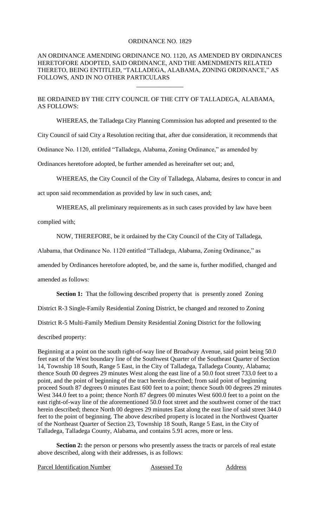## ORDINANCE NO. 1829

## AN ORDINANCE AMENDING ORDINANCE NO. 1120, AS AMENDED BY ORDINANCES HERETOFORE ADOPTED, SAID ORDINANCE, AND THE AMENDMENTS RELATED THERETO, BEING ENTITLED, "TALLADEGA, ALABAMA, ZONING ORDINANCE," AS FOLLOWS, AND IN NO OTHER PARTICULARS

\_\_\_\_\_\_\_\_\_\_\_\_\_\_\_

BE ORDAINED BY THE CITY COUNCIL OF THE CITY OF TALLADEGA, ALABAMA, AS FOLLOWS:

WHEREAS, the Talladega City Planning Commission has adopted and presented to the

City Council of said City a Resolution reciting that, after due consideration, it recommends that

Ordinance No. 1120, entitled "Talladega, Alabama, Zoning Ordinance," as amended by

Ordinances heretofore adopted, be further amended as hereinafter set out; and,

WHEREAS, the City Council of the City of Talladega, Alabama, desires to concur in and

act upon said recommendation as provided by law in such cases, and;

WHEREAS, all preliminary requirements as in such cases provided by law have been

complied with;

NOW, THEREFORE, be it ordained by the City Council of the City of Talladega,

Alabama, that Ordinance No. 1120 entitled "Talladega, Alabama, Zoning Ordinance," as

amended by Ordinances heretofore adopted, be, and the same is, further modified, changed and

amended as follows:

**Section 1:** That the following described property that is presently zoned Zoning

District R-3 Single-Family Residential Zoning District, be changed and rezoned to Zoning

District R-5 Multi-Family Medium Density Residential Zoning District for the following

described property:

Beginning at a point on the south right-of-way line of Broadway Avenue, said point being 50.0 feet east of the West boundary line of the Southwest Quarter of the Southeast Quarter of Section 14, Township 18 South, Range 5 East, in the City of Talladega, Talladega County, Alabama; thence South 00 degrees 29 minutes West along the east line of a 50.0 foot street 733.0 feet to a point, and the point of beginning of the tract herein described; from said point of beginning proceed South 87 degrees 0 minutes East 600 feet to a point; thence South 00 degrees 29 minutes West 344.0 feet to a point; thence North 87 degrees 00 minutes West 600.0 feet to a point on the east right-of-way line of the aforementioned 50.0 foot street and the southwest corner of the tract herein described; thence North 00 degrees 29 minutes East along the east line of said street 344.0 feet to the point of beginning. The above described property is located in the Northwest Quarter of the Northeast Quarter of Section 23, Township 18 South, Range 5 East, in the City of Talladega, Talladega County, Alabama, and contains 5.91 acres, more or less.

Section 2: the person or persons who presently assess the tracts or parcels of real estate above described, along with their addresses, is as follows:

Parcel Identification Number Assessed To Address